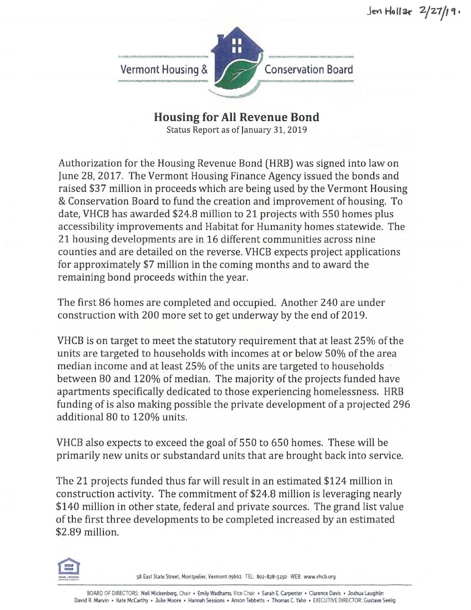

**Housing for All Revenue Bond** 

Status Report as of January 31, 2019

Authorization for the Housing Revenue Bond (HRB) was signed into law on June 28, 2017. The Vermont Housing Finance Agency issued the bonds and raised \$37 million in proceeds which are being used by the Vermont Housing & Conservation Board to fund the creation and improvement of housing. To date, VHCB has awarded \$24.8 million to 21 projects with 550 homes plus accessibility improvements and Habitat for Humanity homes statewide. The 21 housing developments are in 16 different communities across nine counties and are detailed on the reverse. VHCB expects project applications for approximately \$7 million in the coming months and to award the remaining bond proceeds within the year.

The first 86 homes are completed and occupied. Another 240 are under construction with 200 more set to get underway by the end of 2019.

VHCB is on target to meet the statutory requirement that at least 25% of the units are targeted to households with incomes at or below 50% of the area median income and at least 25% of the units are targeted to households between 80 and 120% of median. The majority of the projects funded have apartments specifically dedicated to those experiencing homelessness. HRB funding of is also making possible the private development of a projected 296 additional 80 to 120% units.

VHCB also expects to exceed the goal of 550 to 650 homes. These will be primarily new units or substandard units that are brought back into service.

The 21 projects funded thus far will result in an estimated \$124 million in construction activity. The commitment of \$24.8 million is leveraging nearly \$140 million in other state, federal and private sources. The grand list value of the first three developments to be completed increased by an estimated \$2.89 million.



58 East State Street, Montpelier, Vermont 05602 TEL: 802-828-3250 WEB: www.vhcb.org